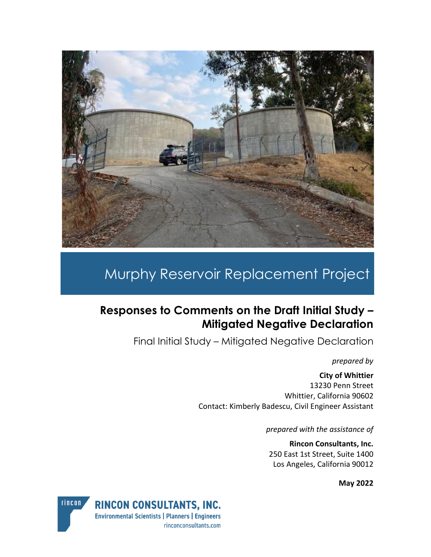

# Murphy Reservoir Replacement Project

#### **Responses to Comments on the Draft Initial Study – Mitigated Negative Declaration**

Final Initial Study – Mitigated Negative Declaration

*prepared by*

**City of Whittier** 13230 Penn Street Whittier, California 90602 Contact: Kimberly Badescu, Civil Engineer Assistant

*prepared with the assistance of*

**Rincon Consultants, Inc.** 250 East 1st Street, Suite 1400 Los Angeles, California 90012

**May 2022**

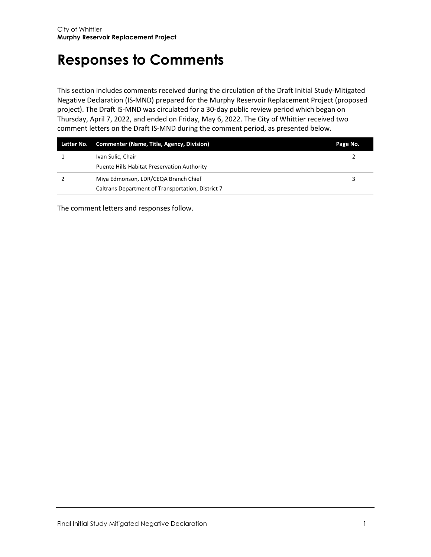## **Responses to Comments**

This section includes comments received during the circulation of the Draft Initial Study-Mitigated Negative Declaration (IS-MND) prepared for the Murphy Reservoir Replacement Project (proposed project). The Draft IS-MND was circulated for a 30-day public review period which began on Thursday, April 7, 2022, and ended on Friday, May 6, 2022. The City of Whittier received two comment letters on the Draft IS-MND during the comment period, as presented below.

| Letter No. | <b>Commenter (Name, Title, Agency, Division)</b>  | Page No. |
|------------|---------------------------------------------------|----------|
|            | Ivan Sulic, Chair                                 |          |
|            | Puente Hills Habitat Preservation Authority       |          |
|            | Miya Edmonson, LDR/CEQA Branch Chief              |          |
|            | Caltrans Department of Transportation, District 7 |          |

The comment letters and responses follow.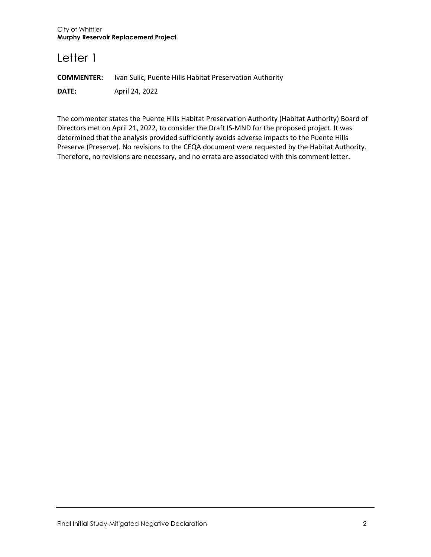### Letter 1

**COMMENTER:** Ivan Sulic, Puente Hills Habitat Preservation Authority

**DATE:** April 24, 2022

The commenter states the Puente Hills Habitat Preservation Authority (Habitat Authority) Board of Directors met on April 21, 2022, to consider the Draft IS-MND for the proposed project. It was determined that the analysis provided sufficiently avoids adverse impacts to the Puente Hills Preserve (Preserve). No revisions to the CEQA document were requested by the Habitat Authority. Therefore, no revisions are necessary, and no errata are associated with this comment letter.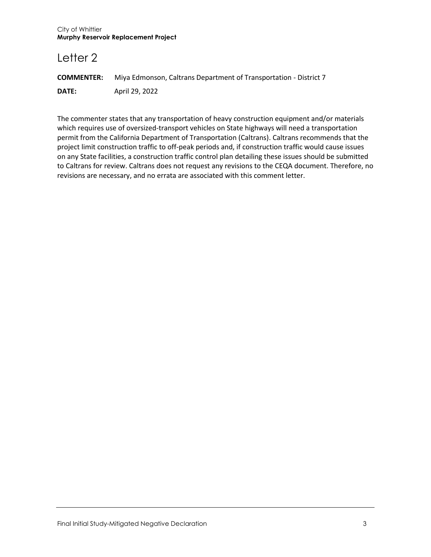### Letter 2

**COMMENTER:** Miya Edmonson, Caltrans Department of Transportation - District 7 **DATE:** April 29, 2022

The commenter states that any transportation of heavy construction equipment and/or materials which requires use of oversized-transport vehicles on State highways will need a transportation permit from the California Department of Transportation (Caltrans). Caltrans recommends that the project limit construction traffic to off-peak periods and, if construction traffic would cause issues on any State facilities, a construction traffic control plan detailing these issues should be submitted to Caltrans for review. Caltrans does not request any revisions to the CEQA document. Therefore, no revisions are necessary, and no errata are associated with this comment letter.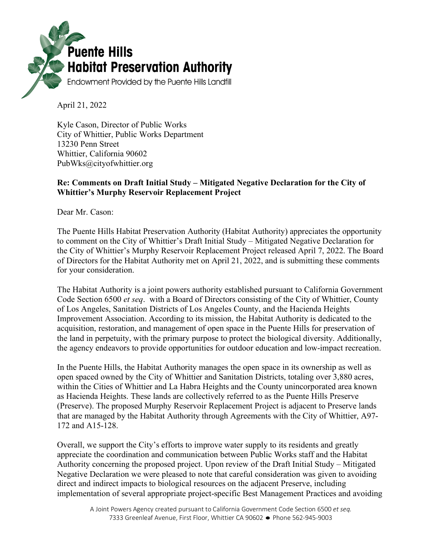

April 21, 2022

Kyle Cason, Director of Public Works City of Whittier, Public Works Department 13230 Penn Street Whittier, California 90602 PubWks@cityofwhittier.org

#### **Re: Comments on Draft Initial Study – Mitigated Negative Declaration for the City of Whittier's Murphy Reservoir Replacement Project**

Dear Mr. Cason:

The Puente Hills Habitat Preservation Authority (Habitat Authority) appreciates the opportunity to comment on the City of Whittier's Draft Initial Study – Mitigated Negative Declaration for the City of Whittier's Murphy Reservoir Replacement Project released April 7, 2022. The Board of Directors for the Habitat Authority met on April 21, 2022, and is submitting these comments for your consideration.

The Habitat Authority is a joint powers authority established pursuant to California Government Code Section 6500 *et seq*. with a Board of Directors consisting of the City of Whittier, County of Los Angeles, Sanitation Districts of Los Angeles County, and the Hacienda Heights Improvement Association. According to its mission, the Habitat Authority is dedicated to the acquisition, restoration, and management of open space in the Puente Hills for preservation of the land in perpetuity, with the primary purpose to protect the biological diversity. Additionally, the agency endeavors to provide opportunities for outdoor education and low-impact recreation.

In the Puente Hills, the Habitat Authority manages the open space in its ownership as well as open spaced owned by the City of Whittier and Sanitation Districts, totaling over 3,880 acres, within the Cities of Whittier and La Habra Heights and the County unincorporated area known as Hacienda Heights. These lands are collectively referred to as the Puente Hills Preserve (Preserve). The proposed Murphy Reservoir Replacement Project is adjacent to Preserve lands that are managed by the Habitat Authority through Agreements with the City of Whittier, A97- 172 and A15-128.

Overall, we support the City's efforts to improve water supply to its residents and greatly appreciate the coordination and communication between Public Works staff and the Habitat Authority concerning the proposed project. Upon review of the Draft Initial Study – Mitigated Negative Declaration we were pleased to note that careful consideration was given to avoiding direct and indirect impacts to biological resources on the adjacent Preserve, including implementation of several appropriate project-specific Best Management Practices and avoiding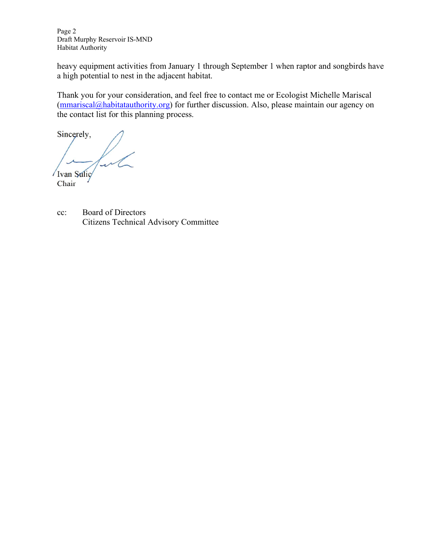Page 2 Draft Murphy Reservoir IS-MND Habitat Authority

heavy equipment activities from January 1 through September 1 when raptor and songbirds have a high potential to nest in the adjacent habitat.

Thank you for your consideration, and feel free to contact me or Ecologist Michelle Mariscal  $(mmariscal@habitatauthority.org)$  for further discussion. Also, please maintain our agency on the contact list for this planning process.

Sincerely, Lul Í Ivan Sulic

Chair

cc: Board of Directors Citizens Technical Advisory Committee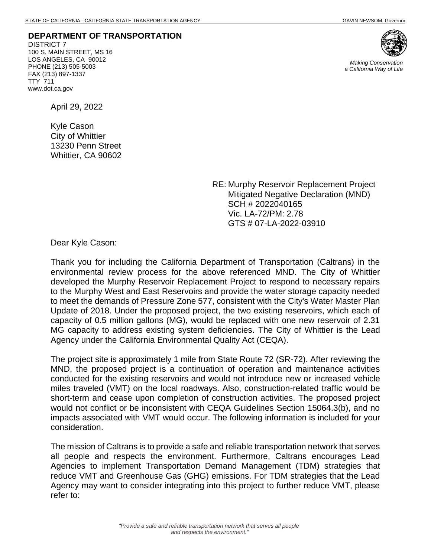**DEPARTMENT OF TRANSPORTATION** DISTRICT 7 100 S. MAIN STREET, MS 16 LOS ANGELES, CA 90012 PHONE (213) 505-5003 FAX (213) 897-1337 TTY 711 www.dot.ca.gov



*Making Conservation a California Way of Life*

April 29, 2022

Kyle Cason City of Whittier 13230 Penn Street Whittier, CA 90602

> RE: Murphy Reservoir Replacement Project Mitigated Negative Declaration (MND) SCH # 2022040165 Vic. LA-72/PM: 2.78 GTS # 07-LA-2022-03910

Dear Kyle Cason:

Thank you for including the California Department of Transportation (Caltrans) in the environmental review process for the above referenced MND. The City of Whittier developed the Murphy Reservoir Replacement Project to respond to necessary repairs to the Murphy West and East Reservoirs and provide the water storage capacity needed to meet the demands of Pressure Zone 577, consistent with the City's Water Master Plan Update of 2018. Under the proposed project, the two existing reservoirs, which each of capacity of 0.5 million gallons (MG), would be replaced with one new reservoir of 2.31 MG capacity to address existing system deficiencies. The City of Whittier is the Lead Agency under the California Environmental Quality Act (CEQA).

The project site is approximately 1 mile from State Route 72 (SR-72). After reviewing the MND, the proposed project is a continuation of operation and maintenance activities conducted for the existing reservoirs and would not introduce new or increased vehicle miles traveled (VMT) on the local roadways. Also, construction-related traffic would be short-term and cease upon completion of construction activities. The proposed project would not conflict or be inconsistent with CEQA Guidelines Section 15064.3(b), and no impacts associated with VMT would occur. The following information is included for your consideration.

The mission of Caltrans is to provide a safe and reliable transportation network that serves all people and respects the environment. Furthermore, Caltrans encourages Lead Agencies to implement Transportation Demand Management (TDM) strategies that reduce VMT and Greenhouse Gas (GHG) emissions. For TDM strategies that the Lead Agency may want to consider integrating into this project to further reduce VMT, please refer to: